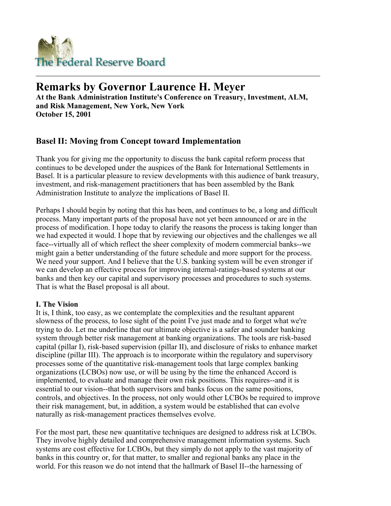

# **Remarks by Governor Laurence H. Meyer**

**At the Bank Administration Institute's Conference on Treasury, Investment, ALM, and Risk Management, New York, New York October 15, 2001** 

## **Basel II: Moving from Concept toward Implementation**

Thank you for giving me the opportunity to discuss the bank capital reform process that continues to be developed under the auspices of the Bank for International Settlements in Basel. It is a particular pleasure to review developments with this audience of bank treasury, investment, and risk-management practitioners that has been assembled by the Bank Administration Institute to analyze the implications of Basel II.

Perhaps I should begin by noting that this has been, and continues to be, a long and difficult process. Many important parts of the proposal have not yet been announced or are in the process of modification. I hope today to clarify the reasons the process is taking longer than we had expected it would. I hope that by reviewing our objectives and the challenges we all face--virtually all of which reflect the sheer complexity of modern commercial banks--we might gain a better understanding of the future schedule and more support for the process. We need your support. And I believe that the U.S. banking system will be even stronger if we can develop an effective process for improving internal-ratings-based systems at our banks and then key our capital and supervisory processes and procedures to such systems. That is what the Basel proposal is all about.

### **I. The Vision**

It is, I think, too easy, as we contemplate the complexities and the resultant apparent slowness of the process, to lose sight of the point I've just made and to forget what we're trying to do. Let me underline that our ultimate objective is a safer and sounder banking system through better risk management at banking organizations. The tools are risk-based capital (pillar I), risk-based supervision (pillar II), and disclosure of risks to enhance market discipline (pillar III). The approach is to incorporate within the regulatory and supervisory processes some of the quantitative risk-management tools that large complex banking organizations (LCBOs) now use, or will be using by the time the enhanced Accord is implemented, to evaluate and manage their own risk positions. This requires--and it is essential to our vision--that both supervisors and banks focus on the same positions, controls, and objectives. In the process, not only would other LCBOs be required to improve their risk management, but, in addition, a system would be established that can evolve naturally as risk-management practices themselves evolve.

For the most part, these new quantitative techniques are designed to address risk at LCBOs. They involve highly detailed and comprehensive management information systems. Such systems are cost effective for LCBOs, but they simply do not apply to the vast majority of banks in this country or, for that matter, to smaller and regional banks any place in the world. For this reason we do not intend that the hallmark of Basel II--the harnessing of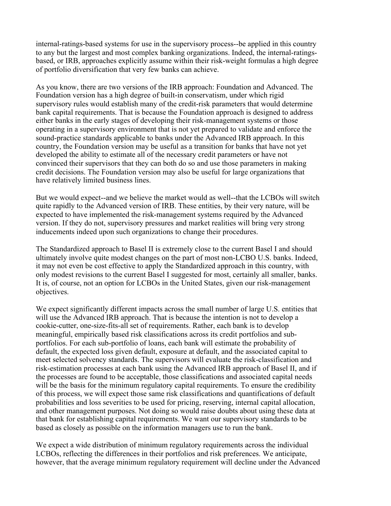internal-ratings-based systems for use in the supervisory process--be applied in this country to any but the largest and most complex banking organizations. Indeed, the internal-ratingsbased, or IRB, approaches explicitly assume within their risk-weight formulas a high degree of portfolio diversification that very few banks can achieve.

As you know, there are two versions of the IRB approach: Foundation and Advanced. The Foundation version has a high degree of built-in conservatism, under which rigid supervisory rules would establish many of the credit-risk parameters that would determine bank capital requirements. That is because the Foundation approach is designed to address either banks in the early stages of developing their risk-management systems or those operating in a supervisory environment that is not yet prepared to validate and enforce the sound-practice standards applicable to banks under the Advanced IRB approach. In this country, the Foundation version may be useful as a transition for banks that have not yet developed the ability to estimate all of the necessary credit parameters or have not convinced their supervisors that they can both do so and use those parameters in making credit decisions. The Foundation version may also be useful for large organizations that have relatively limited business lines.

But we would expect--and we believe the market would as well--that the LCBOs will switch quite rapidly to the Advanced version of IRB. These entities, by their very nature, will be expected to have implemented the risk-management systems required by the Advanced version. If they do not, supervisory pressures and market realities will bring very strong inducements indeed upon such organizations to change their procedures.

The Standardized approach to Basel II is extremely close to the current Basel I and should ultimately involve quite modest changes on the part of most non-LCBO U.S. banks. Indeed, it may not even be cost effective to apply the Standardized approach in this country, with only modest revisions to the current Basel I suggested for most, certainly all smaller, banks. It is, of course, not an option for LCBOs in the United States, given our risk-management objectives.

We expect significantly different impacts across the small number of large U.S. entities that will use the Advanced IRB approach. That is because the intention is not to develop a cookie-cutter, one-size-fits-all set of requirements. Rather, each bank is to develop meaningful, empirically based risk classifications across its credit portfolios and subportfolios. For each sub-portfolio of loans, each bank will estimate the probability of default, the expected loss given default, exposure at default, and the associated capital to meet selected solvency standards. The supervisors will evaluate the risk-classification and risk-estimation processes at each bank using the Advanced IRB approach of Basel II, and if the processes are found to be acceptable, those classifications and associated capital needs will be the basis for the minimum regulatory capital requirements. To ensure the credibility of this process, we will expect those same risk classifications and quantifications of default probabilities and loss severities to be used for pricing, reserving, internal capital allocation, and other management purposes. Not doing so would raise doubts about using these data at that bank for establishing capital requirements. We want our supervisory standards to be based as closely as possible on the information managers use to run the bank.

We expect a wide distribution of minimum regulatory requirements across the individual LCBOs, reflecting the differences in their portfolios and risk preferences. We anticipate, however, that the average minimum regulatory requirement will decline under the Advanced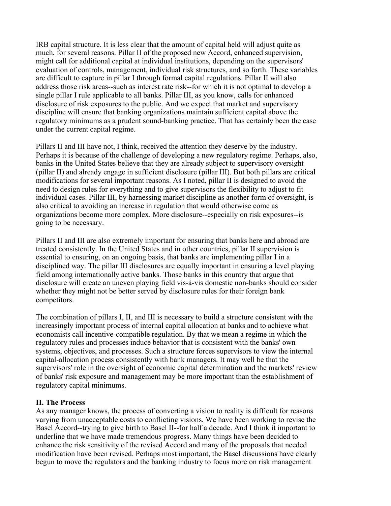IRB capital structure. It is less clear that the amount of capital held will adjust quite as much, for several reasons. Pillar II of the proposed new Accord, enhanced supervision, might call for additional capital at individual institutions, depending on the supervisors' evaluation of controls, management, individual risk structures, and so forth. These variables are difficult to capture in pillar I through formal capital regulations. Pillar II will also address those risk areas--such as interest rate risk--for which it is not optimal to develop a single pillar I rule applicable to all banks. Pillar III, as you know, calls for enhanced disclosure of risk exposures to the public. And we expect that market and supervisory discipline will ensure that banking organizations maintain sufficient capital above the regulatory minimums as a prudent sound-banking practice. That has certainly been the case under the current capital regime.

Pillars II and III have not, I think, received the attention they deserve by the industry. Perhaps it is because of the challenge of developing a new regulatory regime. Perhaps, also, banks in the United States believe that they are already subject to supervisory oversight (pillar II) and already engage in sufficient disclosure (pillar III). But both pillars are critical modifications for several important reasons. As I noted, pillar II is designed to avoid the need to design rules for everything and to give supervisors the flexibility to adjust to fit individual cases. Pillar III, by harnessing market discipline as another form of oversight, is also critical to avoiding an increase in regulation that would otherwise come as organizations become more complex. More disclosure--especially on risk exposures--is going to be necessary.

Pillars II and III are also extremely important for ensuring that banks here and abroad are treated consistently. In the United States and in other countries, pillar II supervision is essential to ensuring, on an ongoing basis, that banks are implementing pillar I in a disciplined way. The pillar III disclosures are equally important in ensuring a level playing field among internationally active banks. Those banks in this country that argue that disclosure will create an uneven playing field vis-à-vis domestic non-banks should consider whether they might not be better served by disclosure rules for their foreign bank competitors.

The combination of pillars I, II, and III is necessary to build a structure consistent with the increasingly important process of internal capital allocation at banks and to achieve what economists call incentive-compatible regulation. By that we mean a regime in which the regulatory rules and processes induce behavior that is consistent with the banks' own systems, objectives, and processes. Such a structure forces supervisors to view the internal capital-allocation process consistently with bank managers. It may well be that the supervisors' role in the oversight of economic capital determination and the markets' review of banks' risk exposure and management may be more important than the establishment of regulatory capital minimums.

#### **II. The Process**

As any manager knows, the process of converting a vision to reality is difficult for reasons varying from unacceptable costs to conflicting visions. We have been working to revise the Basel Accord--trying to give birth to Basel II--for half a decade. And I think it important to underline that we have made tremendous progress. Many things have been decided to enhance the risk sensitivity of the revised Accord and many of the proposals that needed modification have been revised. Perhaps most important, the Basel discussions have clearly begun to move the regulators and the banking industry to focus more on risk management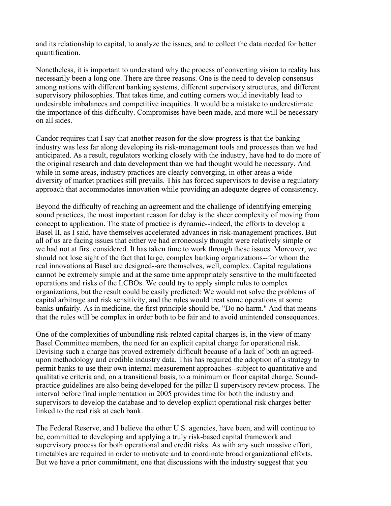and its relationship to capital, to analyze the issues, and to collect the data needed for better quantification.

Nonetheless, it is important to understand why the process of converting vision to reality has necessarily been a long one. There are three reasons. One is the need to develop consensus among nations with different banking systems, different supervisory structures, and different supervisory philosophies. That takes time, and cutting corners would inevitably lead to undesirable imbalances and competitive inequities. It would be a mistake to underestimate the importance of this difficulty. Compromises have been made, and more will be necessary on all sides.

Candor requires that I say that another reason for the slow progress is that the banking industry was less far along developing its risk-management tools and processes than we had anticipated. As a result, regulators working closely with the industry, have had to do more of the original research and data development than we had thought would be necessary. And while in some areas, industry practices are clearly converging, in other areas a wide diversity of market practices still prevails. This has forced supervisors to devise a regulatory approach that accommodates innovation while providing an adequate degree of consistency.

Beyond the difficulty of reaching an agreement and the challenge of identifying emerging sound practices, the most important reason for delay is the sheer complexity of moving from concept to application. The state of practice is dynamic--indeed, the efforts to develop a Basel II, as I said, have themselves accelerated advances in risk-management practices. But all of us are facing issues that either we had erroneously thought were relatively simple or we had not at first considered. It has taken time to work through these issues. Moreover, we should not lose sight of the fact that large, complex banking organizations--for whom the real innovations at Basel are designed--are themselves, well, complex. Capital regulations cannot be extremely simple and at the same time appropriately sensitive to the multifaceted operations and risks of the LCBOs. We could try to apply simple rules to complex organizations, but the result could be easily predicted: We would not solve the problems of capital arbitrage and risk sensitivity, and the rules would treat some operations at some banks unfairly. As in medicine, the first principle should be, "Do no harm." And that means that the rules will be complex in order both to be fair and to avoid unintended consequences.

One of the complexities of unbundling risk-related capital charges is, in the view of many Basel Committee members, the need for an explicit capital charge for operational risk. Devising such a charge has proved extremely difficult because of a lack of both an agreedupon methodology and credible industry data. This has required the adoption of a strategy to permit banks to use their own internal measurement approaches--subject to quantitative and qualitative criteria and, on a transitional basis, to a minimum or floor capital charge. Soundpractice guidelines are also being developed for the pillar II supervisory review process. The interval before final implementation in 2005 provides time for both the industry and supervisors to develop the database and to develop explicit operational risk charges better linked to the real risk at each bank.

The Federal Reserve, and I believe the other U.S. agencies, have been, and will continue to be, committed to developing and applying a truly risk-based capital framework and supervisory process for both operational and credit risks. As with any such massive effort, timetables are required in order to motivate and to coordinate broad organizational efforts. But we have a prior commitment, one that discussions with the industry suggest that you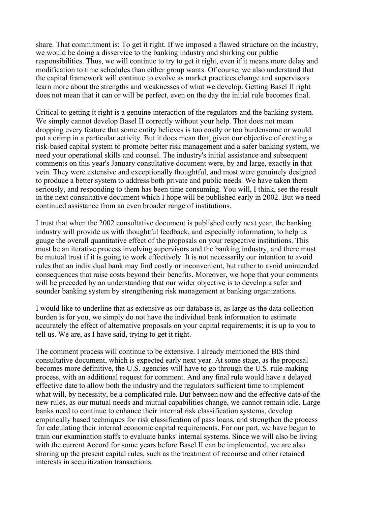share. That commitment is: To get it right. If we imposed a flawed structure on the industry, we would be doing a disservice to the banking industry and shirking our public responsibilities. Thus, we will continue to try to get it right, even if it means more delay and modification to time schedules than either group wants. Of course, we also understand that the capital framework will continue to evolve as market practices change and supervisors learn more about the strengths and weaknesses of what we develop. Getting Basel II right does not mean that it can or will be perfect, even on the day the initial rule becomes final.

Critical to getting it right is a genuine interaction of the regulators and the banking system. We simply cannot develop Basel II correctly without your help. That does not mean dropping every feature that some entity believes is too costly or too burdensome or would put a crimp in a particular activity. But it does mean that, given our objective of creating a risk-based capital system to promote better risk management and a safer banking system, we need your operational skills and counsel. The industry's initial assistance and subsequent comments on this year's January consultative document were, by and large, exactly in that vein. They were extensive and exceptionally thoughtful, and most were genuinely designed to produce a better system to address both private and public needs. We have taken them seriously, and responding to them has been time consuming. You will, I think, see the result in the next consultative document which I hope will be published early in 2002. But we need continued assistance from an even broader range of institutions.

I trust that when the 2002 consultative document is published early next year, the banking industry will provide us with thoughtful feedback, and especially information, to help us gauge the overall quantitative effect of the proposals on your respective institutions. This must be an iterative process involving supervisors and the banking industry, and there must be mutual trust if it is going to work effectively. It is not necessarily our intention to avoid rules that an individual bank may find costly or inconvenient, but rather to avoid unintended consequences that raise costs beyond their benefits. Moreover, we hope that your comments will be preceded by an understanding that our wider objective is to develop a safer and sounder banking system by strengthening risk management at banking organizations.

I would like to underline that as extensive as our database is, as large as the data collection burden is for you, we simply do not have the individual bank information to estimate accurately the effect of alternative proposals on your capital requirements; it is up to you to tell us. We are, as I have said, trying to get it right.

The comment process will continue to be extensive. I already mentioned the BIS third consultative document, which is expected early next year. At some stage, as the proposal becomes more definitive, the U.S. agencies will have to go through the U.S. rule-making process, with an additional request for comment. And any final rule would have a delayed effective date to allow both the industry and the regulators sufficient time to implement what will, by necessity, be a complicated rule. But between now and the effective date of the new rules, as our mutual needs and mutual capabilities change, we cannot remain idle. Large banks need to continue to enhance their internal risk classification systems, develop empirically based techniques for risk classification of pass loans, and strengthen the process for calculating their internal economic capital requirements. For our part, we have begun to train our examination staffs to evaluate banks' internal systems. Since we will also be living with the current Accord for some years before Basel II can be implemented, we are also shoring up the present capital rules, such as the treatment of recourse and other retained interests in securitization transactions.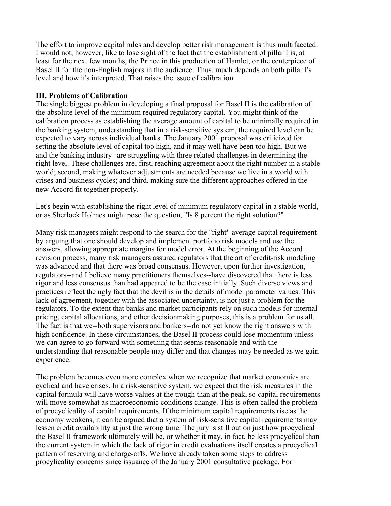The effort to improve capital rules and develop better risk management is thus multifaceted. I would not, however, like to lose sight of the fact that the establishment of pillar I is, at least for the next few months, the Prince in this production of Hamlet, or the centerpiece of Basel II for the non-English majors in the audience. Thus, much depends on both pillar I's level and how it's interpreted. That raises the issue of calibration.

#### **III. Problems of Calibration**

The single biggest problem in developing a final proposal for Basel II is the calibration of the absolute level of the minimum required regulatory capital. You might think of the calibration process as establishing the average amount of capital to be minimally required in the banking system, understanding that in a risk-sensitive system, the required level can be expected to vary across individual banks. The January 2001 proposal was criticized for setting the absolute level of capital too high, and it may well have been too high. But we- and the banking industry--are struggling with three related challenges in determining the right level. These challenges are, first, reaching agreement about the right number in a stable world; second, making whatever adjustments are needed because we live in a world with crises and business cycles; and third, making sure the different approaches offered in the new Accord fit together properly.

Let's begin with establishing the right level of minimum regulatory capital in a stable world, or as Sherlock Holmes might pose the question, "Is 8 percent the right solution?"

Many risk managers might respond to the search for the "right" average capital requirement by arguing that one should develop and implement portfolio risk models and use the answers, allowing appropriate margins for model error. At the beginning of the Accord revision process, many risk managers assured regulators that the art of credit-risk modeling was advanced and that there was broad consensus. However, upon further investigation, regulators--and I believe many practitioners themselves--have discovered that there is less rigor and less consensus than had appeared to be the case initially. Such diverse views and practices reflect the ugly fact that the devil is in the details of model parameter values. This lack of agreement, together with the associated uncertainty, is not just a problem for the regulators. To the extent that banks and market participants rely on such models for internal pricing, capital allocations, and other decisionmaking purposes, this is a problem for us all. The fact is that we--both supervisors and bankers--do not yet know the right answers with high confidence. In these circumstances, the Basel II process could lose momentum unless we can agree to go forward with something that seems reasonable and with the understanding that reasonable people may differ and that changes may be needed as we gain experience.

The problem becomes even more complex when we recognize that market economies are cyclical and have crises. In a risk-sensitive system, we expect that the risk measures in the capital formula will have worse values at the trough than at the peak, so capital requirements will move somewhat as macroeconomic conditions change. This is often called the problem of procyclicality of capital requirements. If the minimum capital requirements rise as the economy weakens, it can be argued that a system of risk-sensitive capital requirements may lessen credit availability at just the wrong time. The jury is still out on just how procyclical the Basel II framework ultimately will be, or whether it may, in fact, be less procyclical than the current system in which the lack of rigor in credit evaluations itself creates a procyclical pattern of reserving and charge-offs. We have already taken some steps to address procylicality concerns since issuance of the January 2001 consultative package. For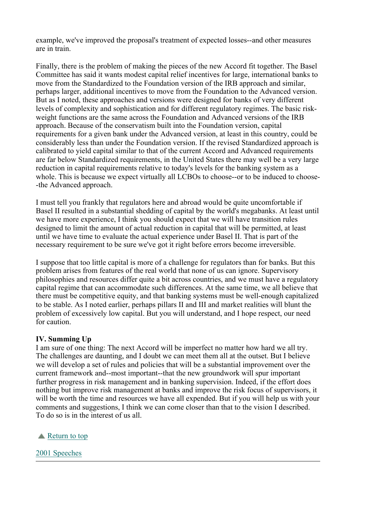example, we've improved the proposal's treatment of expected losses--and other measures are in train.

Finally, there is the problem of making the pieces of the new Accord fit together. The Basel Committee has said it wants modest capital relief incentives for large, international banks to move from the Standardized to the Foundation version of the IRB approach and similar, perhaps larger, additional incentives to move from the Foundation to the Advanced version. But as I noted, these approaches and versions were designed for banks of very different levels of complexity and sophistication and for different regulatory regimes. The basic riskweight functions are the same across the Foundation and Advanced versions of the IRB approach. Because of the conservatism built into the Foundation version, capital requirements for a given bank under the Advanced version, at least in this country, could be considerably less than under the Foundation version. If the revised Standardized approach is calibrated to yield capital similar to that of the current Accord and Advanced requirements are far below Standardized requirements, in the United States there may well be a very large reduction in capital requirements relative to today's levels for the banking system as a whole. This is because we expect virtually all LCBOs to choose--or to be induced to choose- -the Advanced approach.

I must tell you frankly that regulators here and abroad would be quite uncomfortable if Basel II resulted in a substantial shedding of capital by the world's megabanks. At least until we have more experience, I think you should expect that we will have transition rules designed to limit the amount of actual reduction in capital that will be permitted, at least until we have time to evaluate the actual experience under Basel II. That is part of the necessary requirement to be sure we've got it right before errors become irreversible.

I suppose that too little capital is more of a challenge for regulators than for banks. But this problem arises from features of the real world that none of us can ignore. Supervisory philosophies and resources differ quite a bit across countries, and we must have a regulatory capital regime that can accommodate such differences. At the same time, we all believe that there must be competitive equity, and that banking systems must be well-enough capitalized to be stable. As I noted earlier, perhaps pillars II and III and market realities will blunt the problem of excessively low capital. But you will understand, and I hope respect, our need for caution.

#### **IV. Summing Up**

I am sure of one thing: The next Accord will be imperfect no matter how hard we all try. The challenges are daunting, and I doubt we can meet them all at the outset. But I believe we will develop a set of rules and policies that will be a substantial improvement over the current framework and--most important--that the new groundwork will spur important further progress in risk management and in banking supervision. Indeed, if the effort does nothing but improve risk management at banks and improve the risk focus of supervisors, it will be worth the time and resources we have all expended. But if you will help us with your comments and suggestions, I think we can come closer than that to the vision I described. To do so is in the interest of us all.

#### Return to top

2001 Speeches